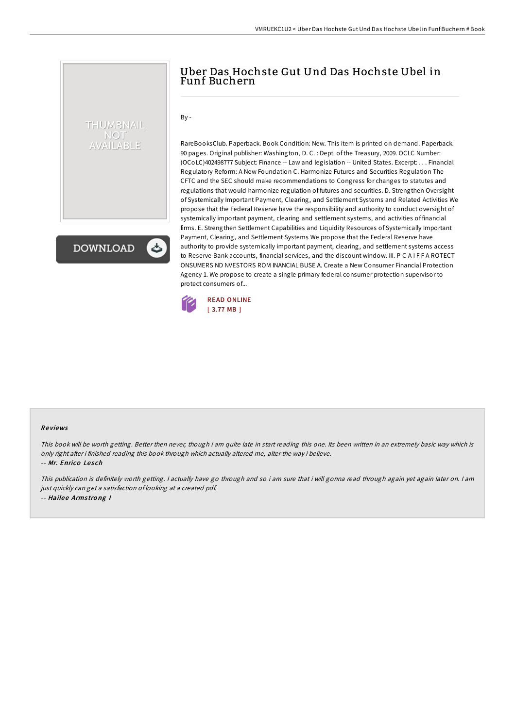## Uber Das Hochste Gut Und Das Hochste Ubel in Funf Buchern

By -

THUMBNAIL NOT AVAILABLE

**DOWNLOAD** 

RareBooksClub. Paperback. Book Condition: New. This item is printed on demand. Paperback. 90 pages. Original publisher: Washington, D. C. : Dept. of the Treasury, 2009. OCLC Number: (OCoLC)402498777 Subject: Finance -- Law and legislation -- United States. Excerpt: . . . Financial Regulatory Reform: A New Foundation C. Harmonize Futures and Securities Regulation The CFTC and the SEC should make recommendations to Congress for changes to statutes and regulations that would harmonize regulation of futures and securities. D. Strengthen Oversight of Systemically Important Payment, Clearing, and Settlement Systems and Related Activities We propose that the Federal Reserve have the responsibility and authority to conduct oversight of systemically important payment, clearing and settlement systems, and activities of financial firms. E. Strengthen Settlement Capabilities and Liquidity Resources of Systemically Important Payment, Clearing, and Settlement Systems We propose that the Federal Reserve have authority to provide systemically important payment, clearing, and settlement systems access to Reserve Bank accounts, financial services, and the discount window. III. P C A I F F A ROTECT ONSUMERS ND NVESTORS ROM INANCIAL BUSE A. Create a New Consumer Financial Protection Agency 1. We propose to create a single primary federal consumer protection supervisor to protect consumers of...



## Re views

This book will be worth getting. Better then never, though i am quite late in start reading this one. Its been written in an extremely basic way which is only right after i finished reading this book through which actually altered me, alter the way i believe.

-- Mr. Enrico Lesch

This publication is definitely worth getting. <sup>I</sup> actually have go through and so i am sure that i will gonna read through again yet again later on. <sup>I</sup> am just quickly can get <sup>a</sup> satisfaction of looking at <sup>a</sup> created pdf. -- Hailee Armstrong I